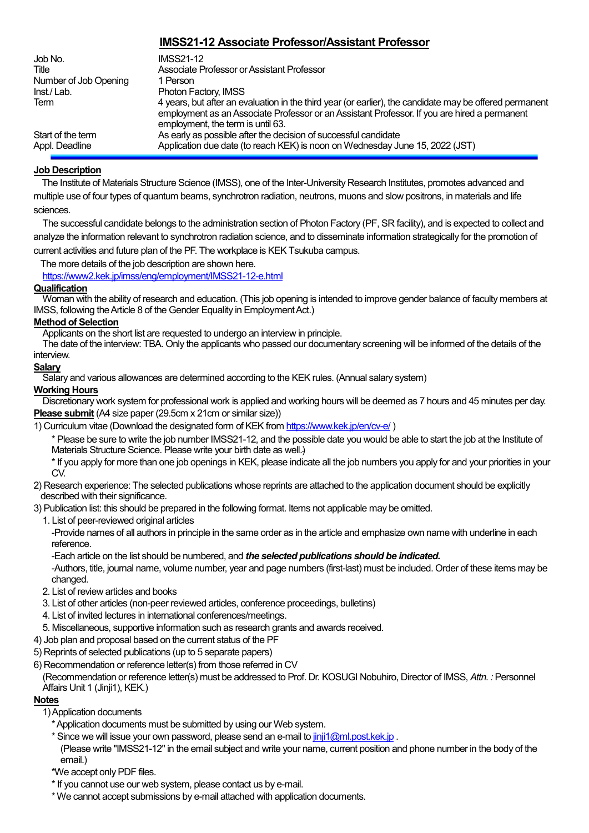# **IMSS21-12 Associate Professor/Assistant Professor**

| Job No.<br>Title                    | <b>IMSS21-12</b><br>Associate Professor or Assistant Professor                                                                                                                                                                               |
|-------------------------------------|----------------------------------------------------------------------------------------------------------------------------------------------------------------------------------------------------------------------------------------------|
| Number of Job Opening               | 1 Person                                                                                                                                                                                                                                     |
| Inst./Lab.                          | Photon Factory, IMSS                                                                                                                                                                                                                         |
| Term                                | 4 years, but after an evaluation in the third year (or earlier), the candidate may be offered permanent<br>employment as an Associate Professor or an Assistant Professor. If you are hired a permanent<br>employment, the term is until 63. |
| Start of the term<br>Appl. Deadline | As early as possible after the decision of successful candidate<br>Application due date (to reach KEK) is noon on Wednesday June 15, 2022 (JST)                                                                                              |

# **Job Description**

The Institute of Materials Structure Science (IMSS), one of the Inter-University Research Institutes, promotes advanced and multiple use of four types of quantum beams, synchrotron radiation, neutrons, muons and slow positrons, in materials and life sciences.

 The successful candidate belongs to the administration section of Photon Factory (PF, SR facility), and is expected to collect and analyze the information relevant to synchrotron radiation science, and to disseminate information strategically for the promotion of current activities and future plan of the PF. The workplace is KEK Tsukuba campus.

The more details of the job description are shown here.

<https://www2.kek.jp/imss/eng/employment/IMSS21-12-e.html>

# **Qualification**

Woman with the ability of research and education. (This job opening is intended to improve gender balance of faculty members at IMSS, following the Article 8 of the Gender Equality in Employment Act.)

### **Method of Selection**

Applicants on the short list are requested to undergo an interview in principle.

The date of the interview: TBA. Only the applicants who passed our documentary screening will be informed of the details of the interview.

# **Salary**

Salary and various allowances are determined according to the KEK rules. (Annual salary system)

### **Working Hours**

Discretionary work system for professional work is applied and working hours will be deemed as 7 hours and 45 minutes per day. **Please submit** (A4 size paper (29.5cm x 21cm or similar size))

1) Curriculum vitae (Download the designated form of KEK from <https://www.kek.jp/en/cv-e/>)

\* Please be sure to write the job number IMSS21-12, and the possible date you would be able to start the job at the Institute of Materials Structure Science. Please write your birth date as well.)

\* If you apply for more than one job openings in KEK, please indicate all the job numbers you apply for and your priorities in your CV<sub>.</sub>

2) Research experience: The selected publications whose reprints are attached to the application document should be explicitly described with their significance.

3) Publication list: this should be prepared in the following format. Items not applicable may be omitted.

1. List of peer-reviewed original articles

-Provide names of all authors in principle in the same order as in the article and emphasize own name with underline in each reference.

-Each article on the list should be numbered, and *the selected publications should be indicated.* -Authors, title, journal name, volume number, year and page numbers (first-last) must be included. Order of these items may be changed.

- 2. List of review articles and books
- 3. List of other articles (non-peer reviewed articles, conference proceedings, bulletins)
- 4. List of invited lectures in international conferences/meetings.
- 5. Miscellaneous, supportive information such as research grants and awards received.
- 4) Job plan and proposal based on the current status of the PF
- 5) Reprints of selected publications (up to 5 separate papers)
- 6) Recommendation or reference letter(s) from those referred in CV

(Recommendation or reference letter(s) must be addressed to Prof. Dr. KOSUGI Nobuhiro, Director of IMSS, *Attn. :* Personnel Affairs Unit 1 (Jinji1), KEK.)

# **Notes**

1) Application documents

- \* Application documents must be submitted by using our Web system.
- \* Since we will issue your own password, please send an e-mail to [jinji1@ml.post.kek.jp](mailto:jinji1@ml.post.kek.jp). (Please write "IMSS21-12" in the email subject and write your name, current position and phone number in the body of the email.)
- \*We accept only PDF files.
- \* If you cannot use our web system, please contact us by e-mail.
- \* We cannot accept submissions by e-mail attached with application documents.